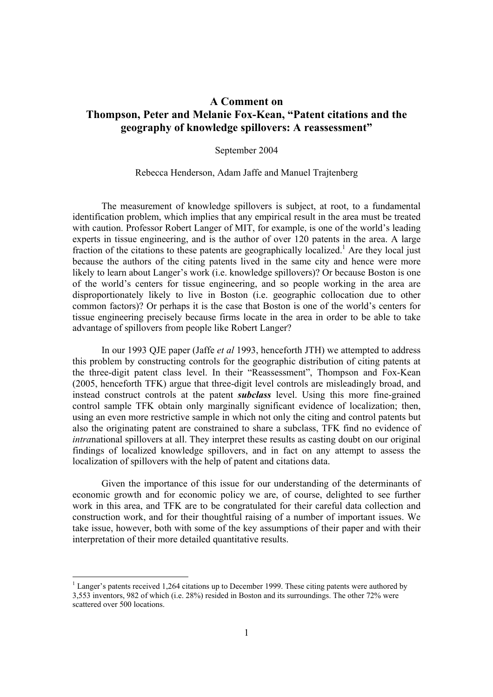## **A Comment on Thompson, Peter and Melanie Fox-Kean, "Patent citations and the geography of knowledge spillovers: A reassessment"**

## September 2004

## Rebecca Henderson, Adam Jaffe and Manuel Trajtenberg

 The measurement of knowledge spillovers is subject, at root, to a fundamental identification problem, which implies that any empirical result in the area must be treated with caution. Professor Robert Langer of MIT, for example, is one of the world's leading experts in tissue engineering, and is the author of over 120 patents in the area. A large fraction of the citations to these patents are geographically localized.<sup>1</sup> Are they local just because the authors of the citing patents lived in the same city and hence were more likely to learn about Langer's work (i.e. knowledge spillovers)? Or because Boston is one of the world's centers for tissue engineering, and so people working in the area are disproportionately likely to live in Boston (i.e. geographic collocation due to other common factors)? Or perhaps it is the case that Boston is one of the world's centers for tissue engineering precisely because firms locate in the area in order to be able to take advantage of spillovers from people like Robert Langer?

 In our 1993 QJE paper (Jaffe *et al* 1993, henceforth JTH) we attempted to address this problem by constructing controls for the geographic distribution of citing patents at the three-digit patent class level. In their "Reassessment", Thompson and Fox-Kean (2005, henceforth TFK) argue that three-digit level controls are misleadingly broad, and instead construct controls at the patent *subclass* level. Using this more fine-grained control sample TFK obtain only marginally significant evidence of localization; then, using an even more restrictive sample in which not only the citing and control patents but also the originating patent are constrained to share a subclass, TFK find no evidence of *intra*national spillovers at all. They interpret these results as casting doubt on our original findings of localized knowledge spillovers, and in fact on any attempt to assess the localization of spillovers with the help of patent and citations data.

 Given the importance of this issue for our understanding of the determinants of economic growth and for economic policy we are, of course, delighted to see further work in this area, and TFK are to be congratulated for their careful data collection and construction work, and for their thoughtful raising of a number of important issues. We take issue, however, both with some of the key assumptions of their paper and with their interpretation of their more detailed quantitative results.

<sup>&</sup>lt;sup>1</sup> Langer's patents received 1,264 citations up to December 1999. These citing patents were authored by 3,553 inventors, 982 of which (i.e. 28%) resided in Boston and its surroundings. The other 72% were scattered over 500 locations.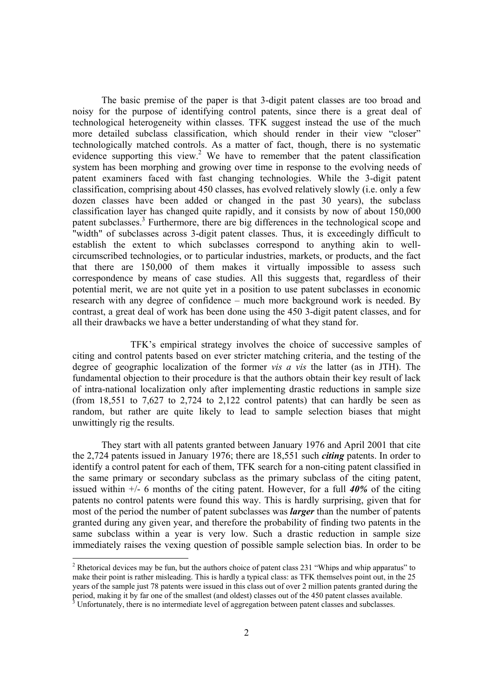The basic premise of the paper is that 3-digit patent classes are too broad and noisy for the purpose of identifying control patents, since there is a great deal of technological heterogeneity within classes. TFK suggest instead the use of the much more detailed subclass classification, which should render in their view "closer" technologically matched controls. As a matter of fact, though, there is no systematic evidence supporting this view.<sup>2</sup> We have to remember that the patent classification system has been morphing and growing over time in response to the evolving needs of patent examiners faced with fast changing technologies. While the 3-digit patent classification, comprising about 450 classes, has evolved relatively slowly (i.e. only a few dozen classes have been added or changed in the past 30 years), the subclass classification layer has changed quite rapidly, and it consists by now of about 150,000 patent subclasses.<sup>3</sup> Furthermore, there are big differences in the technological scope and "width" of subclasses across 3-digit patent classes. Thus, it is exceedingly difficult to establish the extent to which subclasses correspond to anything akin to wellcircumscribed technologies, or to particular industries, markets, or products, and the fact that there are 150,000 of them makes it virtually impossible to assess such correspondence by means of case studies. All this suggests that, regardless of their potential merit, we are not quite yet in a position to use patent subclasses in economic research with any degree of confidence – much more background work is needed. By contrast, a great deal of work has been done using the 450 3-digit patent classes, and for all their drawbacks we have a better understanding of what they stand for.

 TFK's empirical strategy involves the choice of successive samples of citing and control patents based on ever stricter matching criteria, and the testing of the degree of geographic localization of the former *vis a vis* the latter (as in JTH). The fundamental objection to their procedure is that the authors obtain their key result of lack of intra-national localization only after implementing drastic reductions in sample size (from  $18,551$  to  $7,627$  to  $2,724$  to  $2,122$  control patents) that can hardly be seen as random, but rather are quite likely to lead to sample selection biases that might unwittingly rig the results.

They start with all patents granted between January 1976 and April 2001 that cite the 2,724 patents issued in January 1976; there are 18,551 such *citing* patents. In order to identify a control patent for each of them, TFK search for a non-citing patent classified in the same primary or secondary subclass as the primary subclass of the citing patent, issued within +/- 6 months of the citing patent. However, for a full *40%* of the citing patents no control patents were found this way. This is hardly surprising, given that for most of the period the number of patent subclasses was *larger* than the number of patents granted during any given year, and therefore the probability of finding two patents in the same subclass within a year is very low. Such a drastic reduction in sample size immediately raises the vexing question of possible sample selection bias. In order to be

<sup>&</sup>lt;sup>2</sup> Rhetorical devices may be fun, but the authors choice of patent class 231 "Whips and whip apparatus" to make their point is rather misleading. This is hardly a typical class: as TFK themselves point out, in the 25 years of the sample just 78 patents were issued in this class out of over 2 million patents granted during the period, making it by far one of the smallest (and oldest) classes out of the 450 patent classes available.<br><sup>3</sup> Unfortunately, there is no intermediate level of aggregation between patent classes and subclasses.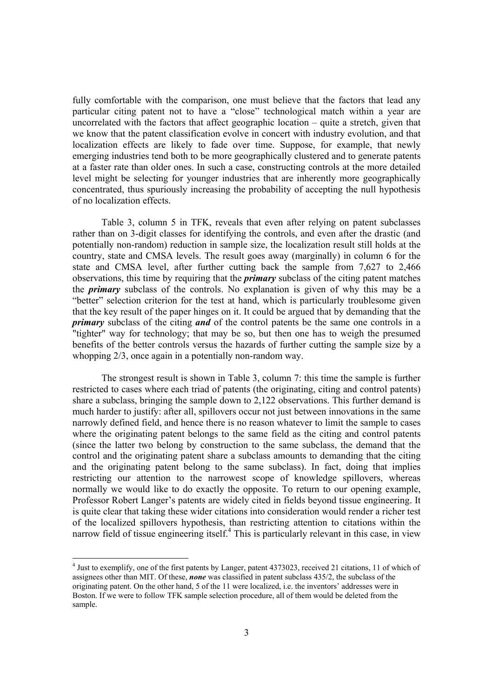fully comfortable with the comparison, one must believe that the factors that lead any particular citing patent not to have a "close" technological match within a year are uncorrelated with the factors that affect geographic location – quite a stretch, given that we know that the patent classification evolve in concert with industry evolution, and that localization effects are likely to fade over time. Suppose, for example, that newly emerging industries tend both to be more geographically clustered and to generate patents at a faster rate than older ones. In such a case, constructing controls at the more detailed level might be selecting for younger industries that are inherently more geographically concentrated, thus spuriously increasing the probability of accepting the null hypothesis of no localization effects.

Table 3, column 5 in TFK, reveals that even after relying on patent subclasses rather than on 3-digit classes for identifying the controls, and even after the drastic (and potentially non-random) reduction in sample size, the localization result still holds at the country, state and CMSA levels. The result goes away (marginally) in column 6 for the state and CMSA level, after further cutting back the sample from 7,627 to 2,466 observations, this time by requiring that the *primary* subclass of the citing patent matches the *primary* subclass of the controls. No explanation is given of why this may be a "better" selection criterion for the test at hand, which is particularly troublesome given that the key result of the paper hinges on it. It could be argued that by demanding that the *primary* subclass of the citing *and* of the control patents be the same one controls in a "tighter" way for technology; that may be so, but then one has to weigh the presumed benefits of the better controls versus the hazards of further cutting the sample size by a whopping  $2/3$ , once again in a potentially non-random way.

The strongest result is shown in Table 3, column 7: this time the sample is further restricted to cases where each triad of patents (the originating, citing and control patents) share a subclass, bringing the sample down to 2,122 observations. This further demand is much harder to justify: after all, spillovers occur not just between innovations in the same narrowly defined field, and hence there is no reason whatever to limit the sample to cases where the originating patent belongs to the same field as the citing and control patents (since the latter two belong by construction to the same subclass, the demand that the control and the originating patent share a subclass amounts to demanding that the citing and the originating patent belong to the same subclass). In fact, doing that implies restricting our attention to the narrowest scope of knowledge spillovers, whereas normally we would like to do exactly the opposite. To return to our opening example, Professor Robert Langer's patents are widely cited in fields beyond tissue engineering. It is quite clear that taking these wider citations into consideration would render a richer test of the localized spillovers hypothesis, than restricting attention to citations within the narrow field of tissue engineering itself.<sup>4</sup> This is particularly relevant in this case, in view

<sup>&</sup>lt;sup>4</sup> Just to exemplify, one of the first patents by Langer, patent 4373023, received 21 citations, 11 of which of assignees other than MIT. Of these, *none* was classified in patent subclass 435/2, the subclass of the originating patent. On the other hand, 5 of the 11 were localized, i.e. the inventors' addresses were in Boston. If we were to follow TFK sample selection procedure, all of them would be deleted from the sample.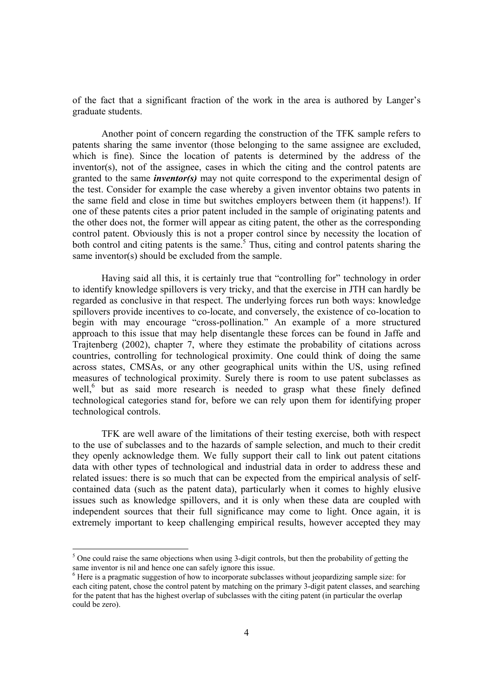of the fact that a significant fraction of the work in the area is authored by Langer's graduate students.

Another point of concern regarding the construction of the TFK sample refers to patents sharing the same inventor (those belonging to the same assignee are excluded, which is fine). Since the location of patents is determined by the address of the inventor(s), not of the assignee, cases in which the citing and the control patents are granted to the same *inventor(s)* may not quite correspond to the experimental design of the test. Consider for example the case whereby a given inventor obtains two patents in the same field and close in time but switches employers between them (it happens!). If one of these patents cites a prior patent included in the sample of originating patents and the other does not, the former will appear as citing patent, the other as the corresponding control patent. Obviously this is not a proper control since by necessity the location of both control and citing patents is the same.<sup>5</sup> Thus, citing and control patents sharing the same inventor(s) should be excluded from the sample.

 Having said all this, it is certainly true that "controlling for" technology in order to identify knowledge spillovers is very tricky, and that the exercise in JTH can hardly be regarded as conclusive in that respect. The underlying forces run both ways: knowledge spillovers provide incentives to co-locate, and conversely, the existence of co-location to begin with may encourage "cross-pollination." An example of a more structured approach to this issue that may help disentangle these forces can be found in Jaffe and Trajtenberg (2002), chapter 7, where they estimate the probability of citations across countries, controlling for technological proximity. One could think of doing the same across states, CMSAs, or any other geographical units within the US, using refined measures of technological proximity. Surely there is room to use patent subclasses as well,<sup>6</sup> but as said more research is needed to grasp what these finely defined technological categories stand for, before we can rely upon them for identifying proper technological controls.

 TFK are well aware of the limitations of their testing exercise, both with respect to the use of subclasses and to the hazards of sample selection, and much to their credit they openly acknowledge them. We fully support their call to link out patent citations data with other types of technological and industrial data in order to address these and related issues: there is so much that can be expected from the empirical analysis of selfcontained data (such as the patent data), particularly when it comes to highly elusive issues such as knowledge spillovers, and it is only when these data are coupled with independent sources that their full significance may come to light. Once again, it is extremely important to keep challenging empirical results, however accepted they may

 $<sup>5</sup>$  One could raise the same objections when using 3-digit controls, but then the probability of getting the</sup> same inventor is nil and hence one can safely ignore this issue.

<sup>&</sup>lt;sup>6</sup> Here is a pragmatic suggestion of how to incorporate subclasses without jeopardizing sample size: for each citing patent, chose the control patent by matching on the primary 3-digit patent classes, and searching for the patent that has the highest overlap of subclasses with the citing patent (in particular the overlap could be zero).